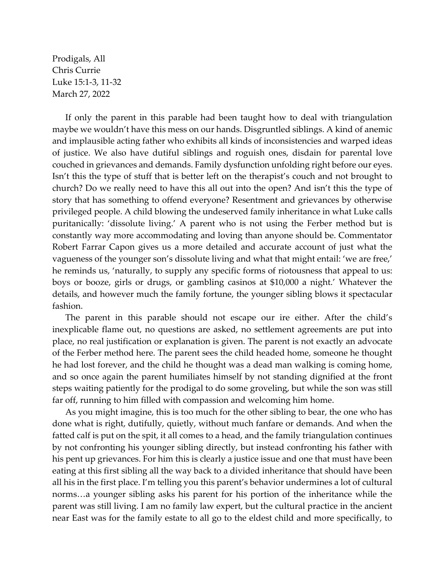Prodigals, All Chris Currie Luke 15:1-3, 11-32 March 27, 2022

If only the parent in this parable had been taught how to deal with triangulation maybe we wouldn't have this mess on our hands. Disgruntled siblings. A kind of anemic and implausible acting father who exhibits all kinds of inconsistencies and warped ideas of justice. We also have dutiful siblings and roguish ones, disdain for parental love couched in grievances and demands. Family dysfunction unfolding right before our eyes. Isn't this the type of stuff that is better left on the therapist's couch and not brought to church? Do we really need to have this all out into the open? And isn't this the type of story that has something to offend everyone? Resentment and grievances by otherwise privileged people. A child blowing the undeserved family inheritance in what Luke calls puritanically: 'dissolute living.' A parent who is not using the Ferber method but is constantly way more accommodating and loving than anyone should be. Commentator Robert Farrar Capon gives us a more detailed and accurate account of just what the vagueness of the younger son's dissolute living and what that might entail: 'we are free,' he reminds us, 'naturally, to supply any specific forms of riotousness that appeal to us: boys or booze, girls or drugs, or gambling casinos at \$10,000 a night.' Whatever the details, and however much the family fortune, the younger sibling blows it spectacular fashion.

The parent in this parable should not escape our ire either. After the child's inexplicable flame out, no questions are asked, no settlement agreements are put into place, no real justification or explanation is given. The parent is not exactly an advocate of the Ferber method here. The parent sees the child headed home, someone he thought he had lost forever, and the child he thought was a dead man walking is coming home, and so once again the parent humiliates himself by not standing dignified at the front steps waiting patiently for the prodigal to do some groveling, but while the son was still far off, running to him filled with compassion and welcoming him home.

As you might imagine, this is too much for the other sibling to bear, the one who has done what is right, dutifully, quietly, without much fanfare or demands. And when the fatted calf is put on the spit, it all comes to a head, and the family triangulation continues by not confronting his younger sibling directly, but instead confronting his father with his pent up grievances. For him this is clearly a justice issue and one that must have been eating at this first sibling all the way back to a divided inheritance that should have been all his in the first place. I'm telling you this parent's behavior undermines a lot of cultural norms…a younger sibling asks his parent for his portion of the inheritance while the parent was still living. I am no family law expert, but the cultural practice in the ancient near East was for the family estate to all go to the eldest child and more specifically, to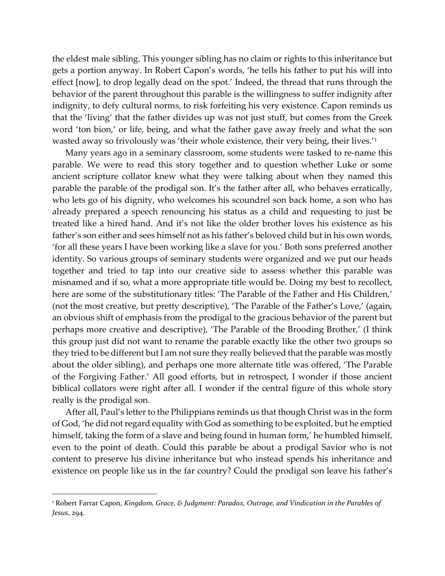the eldest male sibling. This younger sibling has no claim or rights to this inheritance but gets a portion anyway. In Robert Capon's words, 'he tells his father to put his will into effect [now], to drop legally dead on the spot.' Indeed, the thread that runs through the behavior of the parent throughout this parable is the willingness to suffer indignity after indignity, to defy cultural norms, to risk forfeiting his very existence. Capon reminds us that the 'living' that the father divides up was not just stuff, but comes from the Greek word 'ton bion,' or life, being, and what the father gave away freely and what the son wasted away so frivolously was 'their whole existence, their very being, their lives.'[1](#page-1-0)

Many years ago in a seminary classroom, some students were tasked to re-name this parable. We were to read this story together and to question whether Luke or some ancient scripture collator knew what they were talking about when they named this parable the parable of the prodigal son. It's the father after all, who behaves erratically, who lets go of his dignity, who welcomes his scoundrel son back home, a son who has already prepared a speech renouncing his status as a child and requesting to just be treated like a hired hand. And it's not like the older brother loves his existence as his father's son either and sees himself not as his father's beloved child but in his own words, 'for all these years I have been working like a slave for you.' Both sons preferred another identity. So various groups of seminary students were organized and we put our heads together and tried to tap into our creative side to assess whether this parable was misnamed and if so, what a more appropriate title would be. Doing my best to recollect, here are some of the substitutionary titles: 'The Parable of the Father and His Children,' (not the most creative, but pretty descriptive), 'The Parable of the Father's Love,' (again, an obvious shift of emphasis from the prodigal to the gracious behavior of the parent but perhaps more creative and descriptive), 'The Parable of the Brooding Brother,' (I think this group just did not want to rename the parable exactly like the other two groups so they tried to be different but I am not sure they really believed that the parable was mostly about the older sibling), and perhaps one more alternate title was offered, 'The Parable of the Forgiving Father.' All good efforts, but in retrospect, I wonder if those ancient biblical collators were right after all. I wonder if the central figure of this whole story really is the prodigal son.

After all, Paul's letter to the Philippians reminds us that though Christ was in the form of God, 'he did not regard equality with God as something to be exploited, but he emptied himself, taking the form of a slave and being found in human form,' he humbled himself, even to the point of death. Could this parable be about a prodigal Savior who is not content to preserve his divine inheritance but who instead spends his inheritance and existence on people like us in the far country? Could the prodigal son leave his father's

<span id="page-1-0"></span><sup>1</sup> Robert Farrar Capon, *Kingdom, Grace, & Judgment: Paradox, Outrage, and Vindication in the Parables of Jesus*, 294.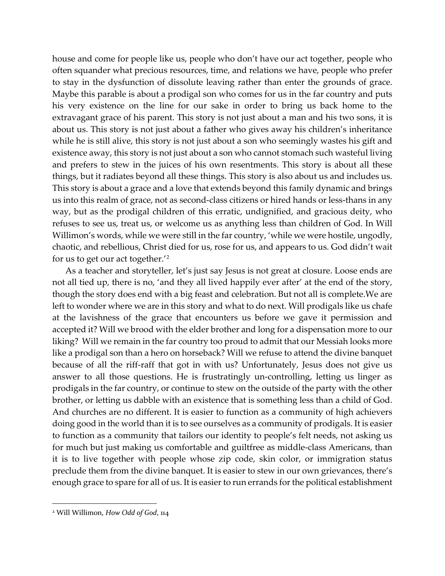house and come for people like us, people who don't have our act together, people who often squander what precious resources, time, and relations we have, people who prefer to stay in the dysfunction of dissolute leaving rather than enter the grounds of grace. Maybe this parable is about a prodigal son who comes for us in the far country and puts his very existence on the line for our sake in order to bring us back home to the extravagant grace of his parent. This story is not just about a man and his two sons, it is about us. This story is not just about a father who gives away his children's inheritance while he is still alive, this story is not just about a son who seemingly wastes his gift and existence away, this story is not just about a son who cannot stomach such wasteful living and prefers to stew in the juices of his own resentments. This story is about all these things, but it radiates beyond all these things. This story is also about us and includes us. This story is about a grace and a love that extends beyond this family dynamic and brings us into this realm of grace, not as second-class citizens or hired hands or less-thans in any way, but as the prodigal children of this erratic, undignified, and gracious deity, who refuses to see us, treat us, or welcome us as anything less than children of God. In Will Willimon's words, while we were still in the far country, 'while we were hostile, ungodly, chaotic, and rebellious, Christ died for us, rose for us, and appears to us. God didn't wait for us to get our act together.'[2](#page-2-0)

As a teacher and storyteller, let's just say Jesus is not great at closure. Loose ends are not all tied up, there is no, 'and they all lived happily ever after' at the end of the story, though the story does end with a big feast and celebration. But not all is complete.We are left to wonder where we are in this story and what to do next. Will prodigals like us chafe at the lavishness of the grace that encounters us before we gave it permission and accepted it? Will we brood with the elder brother and long for a dispensation more to our liking? Will we remain in the far country too proud to admit that our Messiah looks more like a prodigal son than a hero on horseback? Will we refuse to attend the divine banquet because of all the riff-raff that got in with us? Unfortunately, Jesus does not give us answer to all those questions. He is frustratingly un-controlling, letting us linger as prodigals in the far country, or continue to stew on the outside of the party with the other brother, or letting us dabble with an existence that is something less than a child of God. And churches are no different. It is easier to function as a community of high achievers doing good in the world than it is to see ourselves as a community of prodigals. It is easier to function as a community that tailors our identity to people's felt needs, not asking us for much but just making us comfortable and guiltfree as middle-class Americans, than it is to live together with people whose zip code, skin color, or immigration status preclude them from the divine banquet. It is easier to stew in our own grievances, there's enough grace to spare for all of us. It is easier to run errands for the political establishment

<span id="page-2-0"></span><sup>2</sup> Will Willimon, *How Odd of God*, 114